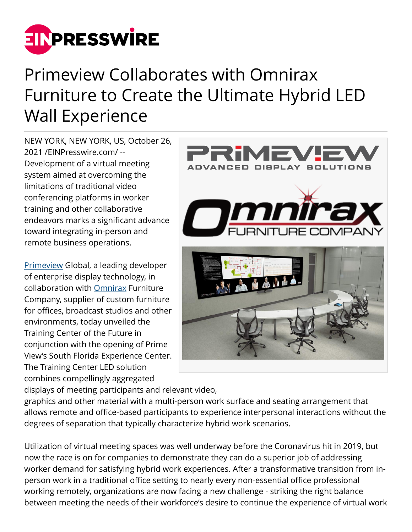

## Primeview Collaborates with Omnirax Furniture to Create the Ultimate Hybrid LED Wall Experience

NEW YORK, NEW YORK, US, October 26, 2021 /[EINPresswire.com](http://www.einpresswire.com)/ -- Development of a virtual meeting system aimed at overcoming the limitations of traditional video conferencing platforms in worker training and other collaborative endeavors marks a significant advance toward integrating in-person and remote business operations.

[Primeview](https://www.primeviewglobal.com/) Global, a leading developer of enterprise display technology, in collaboration with [Omnirax](https://omnirax.com/) Furniture Company, supplier of custom furniture for offices, broadcast studios and other environments, today unveiled the Training Center of the Future in conjunction with the opening of Prime View's South Florida Experience Center. The Training Center LED solution combines compellingly aggregated



displays of meeting participants and relevant video,

graphics and other material with a multi-person work surface and seating arrangement that allows remote and office-based participants to experience interpersonal interactions without the degrees of separation that typically characterize hybrid work scenarios.

Utilization of virtual meeting spaces was well underway before the Coronavirus hit in 2019, but now the race is on for companies to demonstrate they can do a superior job of addressing worker demand for satisfying hybrid work experiences. After a transformative transition from inperson work in a traditional office setting to nearly every non-essential office professional working remotely, organizations are now facing a new challenge - striking the right balance between meeting the needs of their workforce's desire to continue the experience of virtual work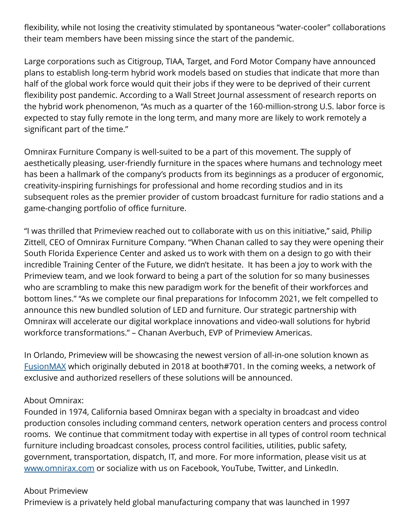flexibility, while not losing the creativity stimulated by spontaneous "water-cooler" collaborations their team members have been missing since the start of the pandemic.

Large corporations such as Citigroup, TIAA, Target, and Ford Motor Company have announced plans to establish long-term hybrid work models based on studies that indicate that more than half of the global work force would quit their jobs if they were to be deprived of their current flexibility post pandemic. According to a Wall Street Journal assessment of research reports on the hybrid work phenomenon, "As much as a quarter of the 160-million-strong U.S. labor force is expected to stay fully remote in the long term, and many more are likely to work remotely a significant part of the time."

Omnirax Furniture Company is well-suited to be a part of this movement. The supply of aesthetically pleasing, user-friendly furniture in the spaces where humans and technology meet has been a hallmark of the company's products from its beginnings as a producer of ergonomic, creativity-inspiring furnishings for professional and home recording studios and in its subsequent roles as the premier provider of custom broadcast furniture for radio stations and a game-changing portfolio of office furniture.

"I was thrilled that Primeview reached out to collaborate with us on this initiative," said, Philip Zittell, CEO of Omnirax Furniture Company. "When Chanan called to say they were opening their South Florida Experience Center and asked us to work with them on a design to go with their incredible Training Center of the Future, we didn't hesitate. It has been a joy to work with the Primeview team, and we look forward to being a part of the solution for so many businesses who are scrambling to make this new paradigm work for the benefit of their workforces and bottom lines." "As we complete our final preparations for Infocomm 2021, we felt compelled to announce this new bundled solution of LED and furniture. Our strategic partnership with Omnirax will accelerate our digital workplace innovations and video-wall solutions for hybrid workforce transformations." – Chanan Averbuch, EVP of Primeview Americas.

In Orlando, Primeview will be showcasing the newest version of all-in-one solution known as [FusionMAX](https://www.primeviewglobal.com/product-category/fusionmax/) which originally debuted in 2018 at booth#701. In the coming weeks, a network of exclusive and authorized resellers of these solutions will be announced.

## About Omnirax:

Founded in 1974, California based Omnirax began with a specialty in broadcast and video production consoles including command centers, network operation centers and process control rooms. We continue that commitment today with expertise in all types of control room technical furniture including broadcast consoles, process control facilities, utilities, public safety, government, transportation, dispatch, IT, and more. For more information, please visit us at [www.omnirax.com](http://www.omnirax.com) or socialize with us on Facebook, YouTube, Twitter, and LinkedIn.

## About Primeview

Primeview is a privately held global manufacturing company that was launched in 1997